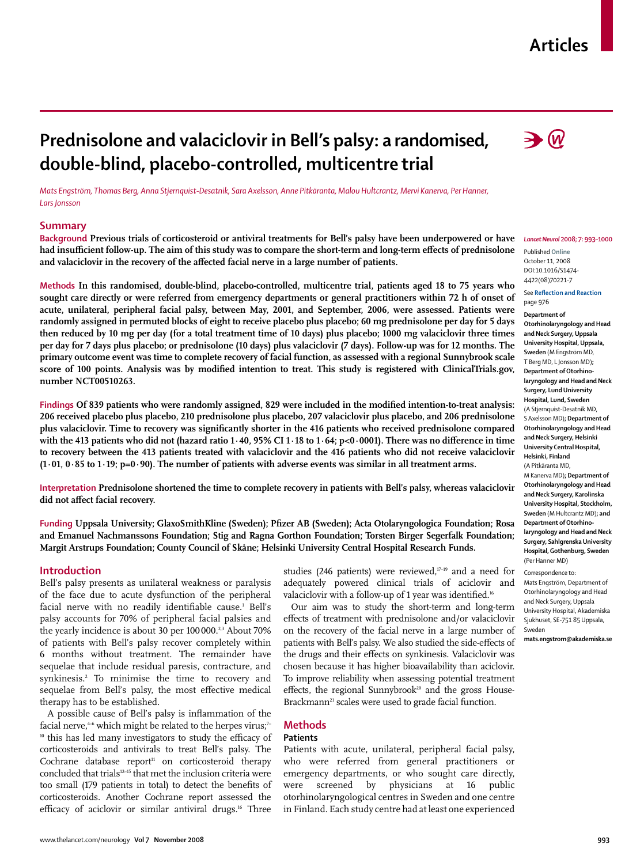# **Articles**

# **Prednisolone and valaciclovir in Bell's palsy: a randomised, double-blind, placebo-controlled, multicentre trial**

*Mats Engström, Thomas Berg, Anna Stjernquist-Desatnik, Sara Axelsson, Anne Pitkäranta, Malou Hultcrantz, Mervi Kanerva, Per Hanner, Lars Jonsson*

## **Summary**

**Background Previous trials of corticosteroid or antiviral treatments for Bell's palsy have been underpowered or have**  had insufficient follow-up. The aim of this study was to compare the short-term and long-term effects of prednisolone and valaciclovir in the recovery of the affected facial nerve in a large number of patients.

**Methods In this randomised, double-blind, placebo-controlled, multicentre trial, patients aged 18 to 75 years who sought care directly or were referred from emergency departments or general practitioners within 72 h of onset of acute, unilateral, peripheral facial palsy, between May, 2001, and September, 2006, were assessed. Patients were randomly assigned in permuted blocks of eight to receive placebo plus placebo; 60 mg prednisolone per day for 5 days then reduced by 10 mg per day (for a total treatment time of 10 days) plus placebo; 1000 mg valaciclovir three times per day for 7 days plus placebo; or prednisolone (10 days) plus valaciclovir (7 days). Follow-up was for 12 months. The primary outcome event was time to complete recovery of facial function, as assessed with a regional Sunnybrook scale**  score of 100 points. Analysis was by modified intention to treat. This study is registered with ClinicalTrials.gov, **number NCT00510263.**

Findings Of 839 patients who were randomly assigned, 829 were included in the modified intention-to-treat analysis: **206 received placebo plus placebo, 210 prednisolone plus placebo, 207 valaciclovir plus placebo, and 206 prednisolone**  plus valaciclovir. Time to recovery was significantly shorter in the 416 patients who received prednisolone compared with the 413 patients who did not (hazard ratio 1·40, 95% CI 1·18 to 1·64; p<0·0001). There was no difference in time **to recovery between the 413 patients treated with valaciclovir and the 416 patients who did not receive valaciclovir (1·01, 0·85 to 1·19; p=0·90). The number of patients with adverse events was similar in all treatment arms.**

**Interpretation Prednisolone shortened the time to complete recovery in patients with Bell's palsy, whereas valaciclovir**  did not affect facial recovery.

Funding Uppsala University; GlaxoSmithKline (Sweden); Pfizer AB (Sweden); Acta Otolaryngologica Foundation; Rosa **and Emanuel Nachmanssons Foundation; Stig and Ragna Gorthon Foundation; Torsten Birger Segerfalk Foundation; Margit Arstrups Foundation; County Council of Skåne; Helsinki University Central Hospital Research Funds.**

#### **Introduction**

Bell's palsy presents as unilateral weakness or paralysis of the face due to acute dysfunction of the peripheral facial nerve with no readily identifiable cause.<sup>1</sup> Bell's palsy accounts for 70% of peripheral facial palsies and the yearly incidence is about 30 per 100 000.<sup>2,3</sup> About 70% of patients with Bell's palsy recover completely within 6 months without treatment. The remainder have sequelae that include residual paresis, contracture, and synkinesis.<sup>2</sup> To minimise the time to recovery and sequelae from Bell's palsy, the most effective medical therapy has to be established.

A possible cause of Bell's palsy is inflammation of the facial nerve, $4-6$  which might be related to the herpes virus; $7 10$  this has led many investigators to study the efficacy of corticosteroids and antivirals to treat Bell's palsy. The Cochrane database report $11$  on corticosteroid therapy concluded that trials<sup>12-15</sup> that met the inclusion criteria were too small (179 patients in total) to detect the benefits of corticosteroids. Another Cochrane report assessed the efficacy of aciclovir or similar antiviral drugs.<sup>16</sup> Three studies (246 patients) were reviewed,<sup>17-19</sup> and a need for adequately powered clinical trials of aciclovir and valaciclovir with a follow-up of 1 year was identified.<sup>16</sup>

Our aim was to study the short-term and long-term effects of treatment with prednisolone and/or valaciclovir on the recovery of the facial nerve in a large number of patients with Bell's palsy. We also studied the side-effects of the drugs and their effects on synkinesis. Valaciclovir was chosen because it has higher bioavailability than aciclovir. To improve reliability when assessing potential treatment effects, the regional Sunnybrook<sup>20</sup> and the gross House-Brackmann<sup>21</sup> scales were used to grade facial function.

# **Methods**

# **Patients**

Patients with acute, unilateral, peripheral facial palsy, who were referred from general practitioners or emergency departments, or who sought care directly, were screened by physicians at 16 public otorhinolaryngological centres in Sweden and one centre in Finland. Each study centre had at least one experienced



#### Published **Online** October 11, 2008 DOI:10.1016/S1474- 4422(08)70221-7

#### **See Reflection and Reaction** page 976

**Department of Otorhinolaryngology and Head and Neck Surgery, Uppsala University Hospital, Uppsala, Sweden** (M Engström MD, T Berg MD, L Jonsson MD)**; Department of Otorhinolaryngology and Head and Neck Surgery, Lund University Hospital, Lund, Sweden** (A Stjernquist-Desatnik MD, S Axelsson MD)**; Department of Otorhinolaryngology and Head and Neck Surgery, Helsinki University Central Hospital, Helsinki, Finland** (A Pitkäranta MD, M Kanerva MD)**; Department of Otorhinolaryngology and Head and Neck Surgery, Karolinska University Hospital, Stockholm, Sweden** (M Hultcrantz MD)**; and Department of Otorhinolaryngology and Head and Neck** 

Correspondence to: Mats Engström, Department of Otorhinolaryngology and Head and Neck Surgery, Uppsala University Hospital, Akademiska Sjukhuset, SE-751 85 Uppsala, Sweden

**Surgery, Sahlgrenska University Hospital, Gothenburg, Sweden**

(Per Hanner MD)

**mats.engstrom@akademiska.se**

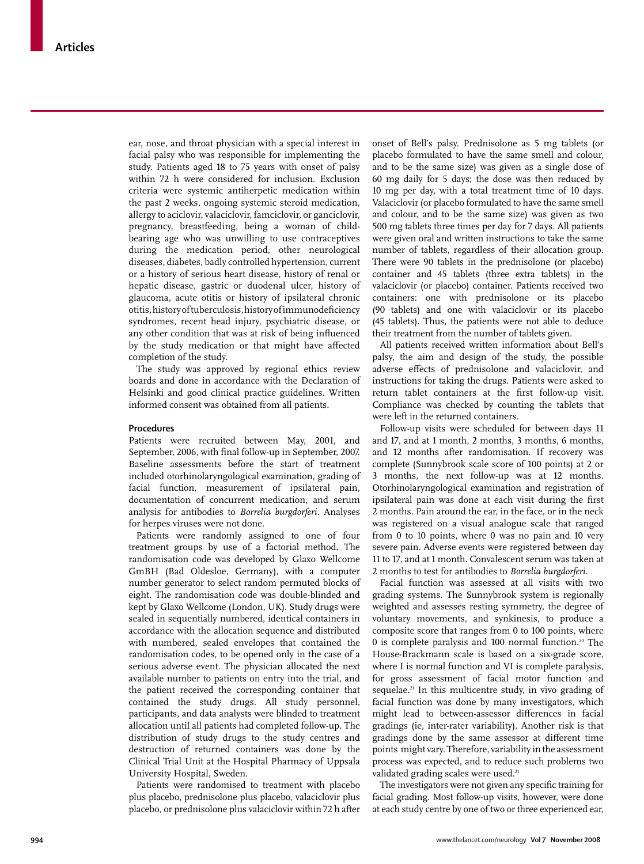ear, nose, and throat physician with a special interest in facial palsy who was responsible for implementing the study. Patients aged 18 to 75 years with onset of palsy within 72 h were considered for inclusion. Exclusion criteria were systemic antiherpetic medication within the past 2 weeks, ongoing systemic steroid medication, allergy to aciclovir, valaciclovir, famciclovir, or ganciclovir, pregnancy, breastfeeding, being a woman of childbearing age who was unwilling to use contraceptives during the medication period, other neurological diseases, diabetes, badly controlled hypertension, current or a history of serious heart disease, history of renal or hepatic disease, gastric or duodenal ulcer, history of glaucoma, acute otitis or history of ipsilateral chronic otitis, history of tuberculosis, history of immunodeficiency syndromes, recent head injury, psychiatric disease, or any other condition that was at risk of being influenced by the study medication or that might have affected completion of the study.

The study was approved by regional ethics review boards and done in accordance with the Declaration of Helsinki and good clinical practice guidelines. Written informed consent was obtained from all patients.

## **Procedures**

Patients were recruited between May, 2001, and September, 2006, with final follow-up in September, 2007. Baseline assessments before the start of treatment included otorhinolaryngological examination, grading of facial function, measurement of ipsilateral pain, documentation of concurrent medication, and serum analysis for antibodies to *Borrelia burgdorferi*. Analyses for herpes viruses were not done.

Patients were randomly assigned to one of four treatment groups by use of a factorial method. The randomisation code was developed by Glaxo Wellcome GmBH (Bad Oldesloe, Germany), with a computer number generator to select random permuted blocks of eight. The randomisation code was double-blinded and kept by Glaxo Wellcome (London, UK). Study drugs were sealed in sequentially numbered, identical containers in accordance with the allocation sequence and distributed with numbered, sealed envelopes that contained the randomisation codes, to be opened only in the case of a serious adverse event. The physician allocated the next available number to patients on entry into the trial, and the patient received the corresponding container that contained the study drugs. All study personnel, participants, and data analysts were blinded to treatment allocation until all patients had completed follow-up. The distribution of study drugs to the study centres and destruction of returned containers was done by the Clinical Trial Unit at the Hospital Pharmacy of Uppsala University Hospital, Sweden.

Patients were randomised to treatment with placebo plus placebo, prednisolone plus placebo, valaciclovir plus placebo, or prednisolone plus valaciclovir within 72 h after onset of Bell's palsy. Prednisolone as 5 mg tablets (or placebo formulated to have the same smell and colour, and to be the same size) was given as a single dose of 60 mg daily for 5 days; the dose was then reduced by 10 mg per day, with a total treatment time of 10 days. Valaciclovir (or placebo formulated to have the same smell and colour, and to be the same size) was given as two 500 mg tablets three times per day for 7 days. All patients were given oral and written instructions to take the same number of tablets, regardless of their allocation group. There were 90 tablets in the prednisolone (or placebo) container and 45 tablets (three extra tablets) in the valaciclovir (or placebo) container. Patients received two containers: one with prednisolone or its placebo (90 tablets) and one with valaciclovir or its placebo (45 tablets). Thus, the patients were not able to deduce their treatment from the number of tablets given.

All patients received written information about Bell's palsy, the aim and design of the study, the possible adverse effects of prednisolone and valaciclovir, and instructions for taking the drugs. Patients were asked to return tablet containers at the first follow-up visit. Compliance was checked by counting the tablets that were left in the returned containers.

Follow-up visits were scheduled for between days 11 and 17, and at 1 month, 2 months, 3 months, 6 months, and 12 months after randomisation. If recovery was complete (Sunnybrook scale score of 100 points) at 2 or 3 months, the next follow-up was at 12 months. Otorhinolaryngological examination and registration of ipsilateral pain was done at each visit during the first 2 months. Pain around the ear, in the face, or in the neck was registered on a visual analogue scale that ranged from 0 to 10 points, where 0 was no pain and 10 very severe pain. Adverse events were registered between day 11 to 17, and at 1 month. Convalescent serum was taken at 2 months to test for antibodies to *Borrelia burgdorferi*.

Facial function was assessed at all visits with two grading systems. The Sunnybrook system is regionally weighted and assesses resting symmetry, the degree of voluntary movements, and synkinesis, to produce a composite score that ranges from 0 to 100 points, where 0 is complete paralysis and 100 normal function.<sup>20</sup> The House-Brackmann scale is based on a six-grade score, where I is normal function and VI is complete paralysis, for gross assessment of facial motor function and sequelae.<sup>21</sup> In this multicentre study, in vivo grading of facial function was done by many investigators, which might lead to between-assessor differences in facial gradings (ie, inter-rater variability). Another risk is that gradings done by the same assessor at different time points might vary. Therefore, variability in the assessment process was expected, and to reduce such problems two validated grading scales were used.<sup>21</sup>

The investigators were not given any specific training for facial grading. Most follow-up visits, however, were done at each study centre by one of two or three experienced ear,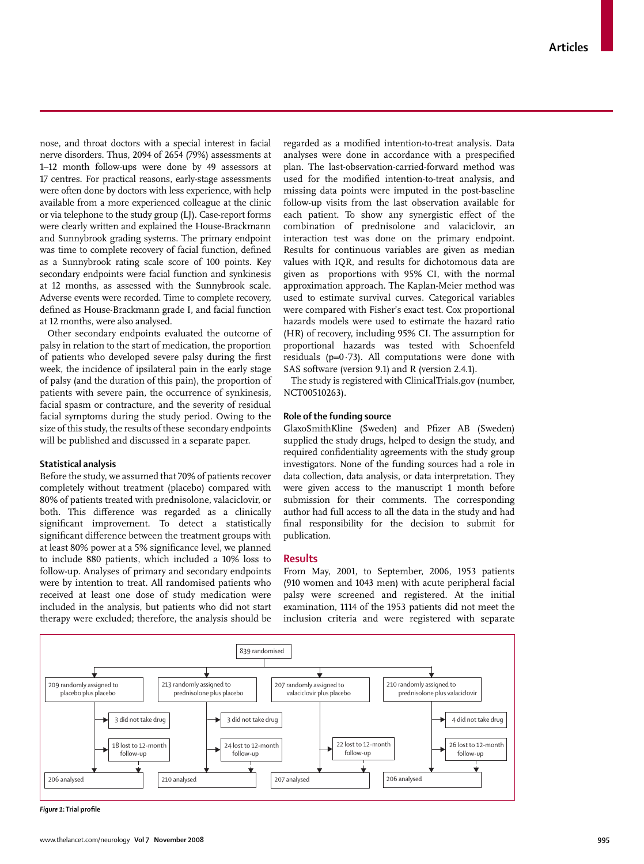nose, and throat doctors with a special interest in facial nerve disorders. Thus, 2094 of 2654 (79%) assessments at 1–12 month follow-ups were done by 49 assessors at 17 centres. For practical reasons, early-stage assessments were often done by doctors with less experience, with help available from a more experienced colleague at the clinic or via telephone to the study group (LJ). Case-report forms were clearly written and explained the House-Brackmann and Sunnybrook grading systems. The primary endpoint was time to complete recovery of facial function, defined as a Sunnybrook rating scale score of 100 points. Key secondary endpoints were facial function and synkinesis at 12 months, as assessed with the Sunnybrook scale. Adverse events were recorded. Time to complete recovery, defined as House-Brackmann grade I, and facial function at 12 months, were also analysed.

Other secondary endpoints evaluated the outcome of palsy in relation to the start of medication, the proportion of patients who developed severe palsy during the first week, the incidence of ipsilateral pain in the early stage of palsy (and the duration of this pain), the proportion of patients with severe pain, the occurrence of synkinesis, facial spasm or contracture, and the severity of residual facial symptoms during the study period. Owing to the size of this study, the results of these secondary endpoints will be published and discussed in a separate paper.

# **Statistical analysis**

Before the study, we assumed that 70% of patients recover completely without treatment (placebo) compared with 80% of patients treated with prednisolone, valaciclovir, or both. This difference was regarded as a clinically significant improvement. To detect a statistically significant difference between the treatment groups with at least 80% power at a 5% significance level, we planned to include 880 patients, which included a 10% loss to follow-up. Analyses of primary and secondary endpoints were by intention to treat. All randomised patients who received at least one dose of study medication were included in the analysis, but patients who did not start therapy were excluded; therefore, the analysis should be regarded as a modified intention-to-treat analysis. Data analyses were done in accordance with a prespecified plan. The last-observation-carried-forward method was used for the modified intention-to-treat analysis, and missing data points were imputed in the post-baseline follow-up visits from the last observation available for each patient. To show any synergistic effect of the combination of prednisolone and valaciclovir, an interaction test was done on the primary endpoint. Results for continuous variables are given as median values with IQR, and results for dichotomous data are given as proportions with 95% CI, with the normal approximation approach. The Kaplan-Meier method was used to estimate survival curves. Categorical variables were compared with Fisher's exact test. Cox proportional hazards models were used to estimate the hazard ratio (HR) of recovery, including 95% CI. The assumption for proportional hazards was tested with Schoenfeld residuals ( $p=0.73$ ). All computations were done with SAS software (version 9.1) and R (version 2.4.1).

The study is registered with ClinicalTrials.gov (number, NCT00510263).

## **Role of the funding source**

GlaxoSmithKline (Sweden) and Pfizer AB (Sweden) supplied the study drugs, helped to design the study, and required confidentiality agreements with the study group investigators. None of the funding sources had a role in data collection, data analysis, or data interpretation. They were given access to the manuscript 1 month before submission for their comments. The corresponding author had full access to all the data in the study and had final responsibility for the decision to submit for publication.

# **Results**

From May, 2001, to September, 2006, 1953 patients (910 women and 1043 men) with acute peripheral facial palsy were screened and registered. At the initial examination, 1114 of the 1953 patients did not meet the inclusion criteria and were registered with separate



**Figure 1: Trial profile**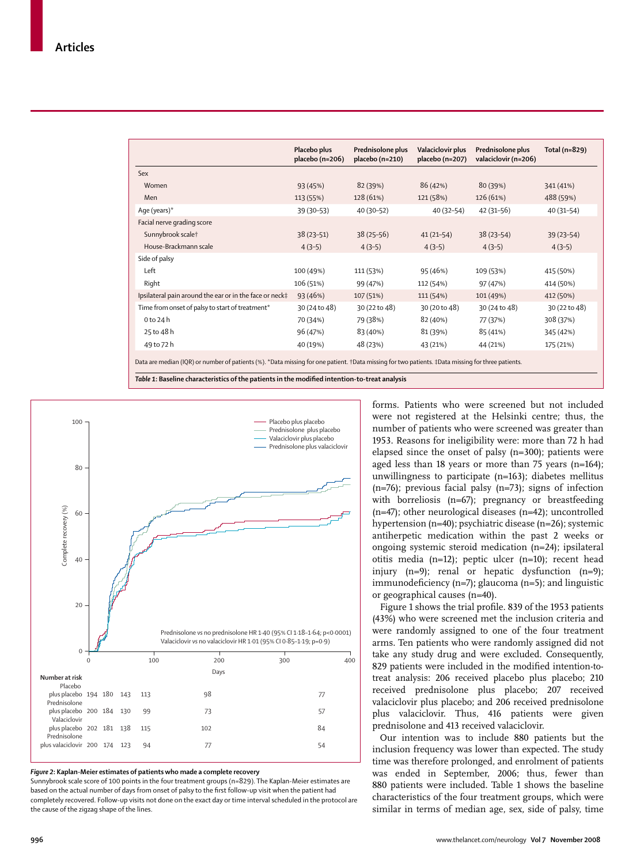|                                                                                                                                                   | Placebo plus<br>placebo (n=206) | Prednisolone plus<br>placebo (n=210) | Valaciclovir plus<br>placebo (n=207) | Prednisolone plus<br>valaciclovir (n=206) | Total (n=829) |  |  |
|---------------------------------------------------------------------------------------------------------------------------------------------------|---------------------------------|--------------------------------------|--------------------------------------|-------------------------------------------|---------------|--|--|
| Sex                                                                                                                                               |                                 |                                      |                                      |                                           |               |  |  |
| Women                                                                                                                                             | 93 (45%)                        | 82 (39%)                             | 86 (42%)                             | 80 (39%)                                  | 341 (41%)     |  |  |
| Men                                                                                                                                               | 113 (55%)                       | 128 (61%)                            | 121 (58%)                            | 126 (61%)                                 | 488 (59%)     |  |  |
| Age (years)*                                                                                                                                      | 39 (30-53)                      | 40 (30-52)                           | 40 (32-54)                           | $42(31 - 56)$                             | $40(31 - 54)$ |  |  |
| Facial nerve grading score                                                                                                                        |                                 |                                      |                                      |                                           |               |  |  |
| Sunnybrook scalet                                                                                                                                 | $38(23 - 51)$                   | $38(25-56)$                          | $41(21-54)$                          | $38(23 - 54)$                             | $39(23-54)$   |  |  |
| House-Brackmann scale                                                                                                                             | $4(3-5)$                        | $4(3-5)$                             | $4(3-5)$                             | $4(3-5)$                                  | $4(3-5)$      |  |  |
| Side of palsy                                                                                                                                     |                                 |                                      |                                      |                                           |               |  |  |
| Left                                                                                                                                              | 100 (49%)                       | 111 (53%)                            | 95 (46%)                             | 109 (53%)                                 | 415 (50%)     |  |  |
| Right                                                                                                                                             | 106 (51%)                       | 99 (47%)                             | 112 (54%)                            | 97 (47%)                                  | 414 (50%)     |  |  |
| Ipsilateral pain around the ear or in the face or neck‡                                                                                           | 93 (46%)                        | 107 (51%)                            | 111 (54%)                            | 101 (49%)                                 | 412 (50%)     |  |  |
| Time from onset of palsy to start of treatment*                                                                                                   | 30 (24 to 48)                   | 30 (22 to 48)                        | 30 (20 to 48)                        | 30 (24 to 48)                             | 30 (22 to 48) |  |  |
| 0 to 24 h                                                                                                                                         | 70 (34%)                        | 79 (38%)                             | 82 (40%)                             | 77 (37%)                                  | 308 (37%)     |  |  |
| 25 to 48 h                                                                                                                                        | 96 (47%)                        | 83 (40%)                             | 81 (39%)                             | 85 (41%)                                  | 345 (42%)     |  |  |
| 49 to 72 h                                                                                                                                        | 40 (19%)                        | 48 (23%)                             | 43 (21%)                             | 44 (21%)                                  | 175 (21%)     |  |  |
| Data are median (IQR) or number of patients (%). *Data missing for one patient. †Data missing for two patients. ‡Data missing for three patients. |                                 |                                      |                                      |                                           |               |  |  |

Table 1: Baseline characteristics of the patients in the modified intention-to-treat analysis



#### *Figure 2***: Kaplan-Meier estimates of patients who made a complete recovery**

Sunnybrook scale score of 100 points in the four treatment groups (n=829). The Kaplan-Meier estimates are based on the actual number of days from onset of palsy to the first follow-up visit when the patient had completely recovered. Follow-up visits not done on the exact day or time interval scheduled in the protocol are the cause of the zigzag shape of the lines.

forms. Patients who were screened but not included were not registered at the Helsinki centre; thus, the number of patients who were screened was greater than 1953. Reasons for ineligibility were: more than 72 h had elapsed since the onset of palsy (n=300); patients were aged less than 18 years or more than 75 years (n=164); unwillingness to participate (n=163); diabetes mellitus (n=76); previous facial palsy (n=73); signs of infection with borreliosis (n=67); pregnancy or breastfeeding (n=47); other neurological diseases (n=42); uncontrolled hypertension (n=40); psychiatric disease (n=26); systemic antiherpetic medication within the past 2 weeks or ongoing systemic steroid medication (n=24); ipsilateral otitis media (n=12); peptic ulcer (n=10); recent head injury (n=9); renal or hepatic dysfunction (n=9); immunodeficiency (n=7); glaucoma (n=5); and linguistic or geographical causes (n=40).

Figure 1 shows the trial profile. 839 of the 1953 patients (43%) who were screened met the inclusion criteria and were randomly assigned to one of the four treatment arms. Ten patients who were randomly assigned did not take any study drug and were excluded. Consequently, 829 patients were included in the modified intention-totreat analysis: 206 received placebo plus placebo; 210 received prednisolone plus placebo; 207 received valaciclovir plus placebo; and 206 received prednisolone plus valaciclovir. Thus, 416 patients were given prednisolone and 413 received valaciclovir.

Our intention was to include 880 patients but the inclusion frequency was lower than expected. The study time was therefore prolonged, and enrolment of patients was ended in September, 2006; thus, fewer than 880 patients were included. Table 1 shows the baseline characteristics of the four treatment groups, which were similar in terms of median age, sex, side of palsy, time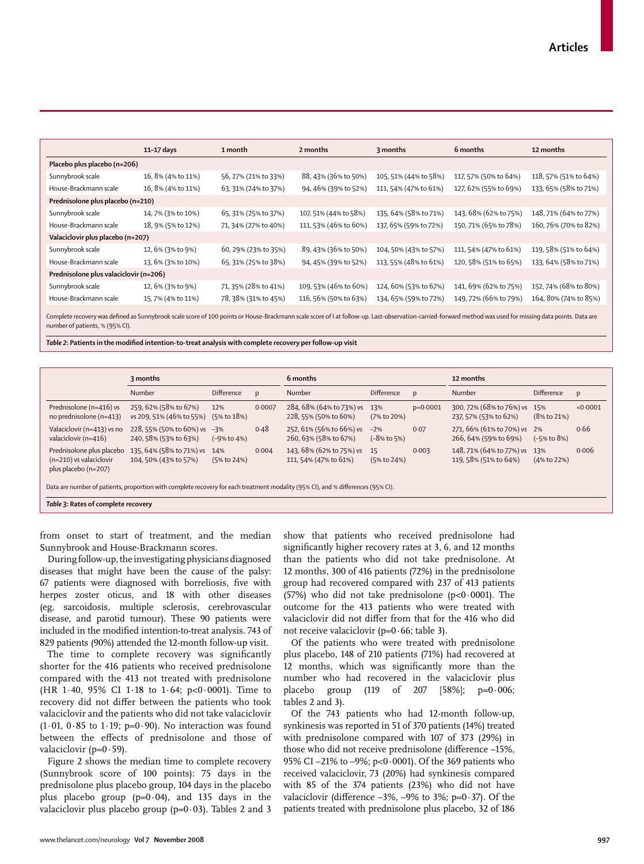|                                        | 11-17 days         | 1 month              | 2 months              | 3 months              | 6 months              | 12 months             |  |  |  |
|----------------------------------------|--------------------|----------------------|-----------------------|-----------------------|-----------------------|-----------------------|--|--|--|
| Placebo plus placebo (n=206)           |                    |                      |                       |                       |                       |                       |  |  |  |
| Sunnybrook scale                       | 16, 8% (4% to 11%) | 56, 27% (21% to 33%) | 88, 43% (36% to 50%)  | 105, 51% (44% to 58%) | 117, 57% (50% to 64%) | 118, 57% (51% to 64%) |  |  |  |
| House-Brackmann scale                  | 16, 8% (4% to 11%) | 63, 31% (24% to 37%) | 94, 46% (39% to 52%)  | 111, 54% (47% to 61%) | 127, 62% (55% to 69%) | 133, 65% (58% to 71%) |  |  |  |
| Prednisolone plus placebo (n=210)      |                    |                      |                       |                       |                       |                       |  |  |  |
| Sunnybrook scale                       | 14, 7% (3% to 10%) | 65, 31% (25% to 37%) | 107, 51% (44% to 58%) | 135, 64% (58% to 71%) | 143, 68% (62% to 75%) | 148, 71% (64% to 77%) |  |  |  |
| House-Brackmann scale                  | 18, 9% (5% to 12%) | 71, 34% (27% to 40%) | 111, 53% (46% to 60%) | 137, 65% (59% to 72%) | 150, 71% (65% to 78%) | 160, 76% (70% to 82%) |  |  |  |
| Valaciclovir plus placebo (n=207)      |                    |                      |                       |                       |                       |                       |  |  |  |
| Sunnybrook scale                       | 12, 6% (3% to 9%)  | 60, 29% (23% to 35%) | 89, 43% (36% to 50%)  | 104, 50% (43% to 57%) | 111, 54% (47% to 61%) | 119, 58% (51% to 64%) |  |  |  |
| House-Brackmann scale                  | 13, 6% (3% to 10%) | 65, 31% (25% to 38%) | 94, 45% (39% to 52%)  | 113, 55% (48% to 61%) | 120, 58% (51% to 65%) | 133, 64% (58% to 71%) |  |  |  |
| Prednisolone plus valaciclovir (n=206) |                    |                      |                       |                       |                       |                       |  |  |  |
| Sunnybrook scale                       | 12, 6% (3% to 9%)  | 71, 35% (28% to 41%) | 109, 53% (46% to 60%) | 124, 60% (53% to 67%) | 141, 69% (62% to 75%) | 152, 74% (68% to 80%) |  |  |  |
| House-Brackmann scale                  | 15, 7% (4% to 11%) | 78, 38% (31% to 45%) | 116, 56% (50% to 63%) | 134, 65% (59% to 72%) | 149, 72% (66% to 79%) | 164, 80% (74% to 85%) |  |  |  |
|                                        |                    |                      |                       |                       |                       |                       |  |  |  |

Complete recovery was defined as Sunnybrook scale score of 100 points or House-Brackmann scale score of I at follow-up. Last-observation-carried-forward method was used for missing data points. Data are number of patients, % (95% CI).

Table 2: Patients in the modified intention-to-treat analysis with complete recovery per follow-up visit

|                                                                                                                                  | 3 months                                                      |               |        | 6 months                                          |                        |            | 12 months                                             |                    |          |
|----------------------------------------------------------------------------------------------------------------------------------|---------------------------------------------------------------|---------------|--------|---------------------------------------------------|------------------------|------------|-------------------------------------------------------|--------------------|----------|
|                                                                                                                                  | Number                                                        | Difference    | p      | Number                                            | Difference             | p          | Number                                                | <b>Difference</b>  | p        |
| Prednisolone (n=416) vs<br>no prednisolone (n=413)                                                                               | 259, 62% (58% to 67%)<br>vs 209, 51% (46% to 55%) (5% to 18%) | 12%           | 0.0007 | 284, 68% (64% to 73%) vs<br>228, 55% (50% to 60%) | 13%<br>(7% to 20%)     | $p=0.0001$ | 300, 72% (68% to 76%) vs 15%<br>237, 57% (53% to 62%) | (8% to 21%)        | < 0.0001 |
| Valaciclovir (n=413) vs no<br>valaciclovir (n=416)                                                                               | 228, 55% (50% to 60%) vs -3%<br>240, 58% (53% to 63%)         | $(-9% to 4%)$ | 0.48   | 252, 61% (56% to 66%) vs<br>260, 63% (58% to 67%) | $-2%$<br>$(-8% to 5%)$ | 0.07       | 271, 66% (61% to 70%) vs 2%<br>266, 64% (59% to 69%)  | $(-5% to 8%)$      | 0.66     |
| Prednisolone plus placebo<br>(n=210) vs valaciclovir<br>plus placebo (n=207)                                                     | 135, 64% (58% to 71%) vs 14%<br>104, 50% (43% to 57%)         | (5% to 24%)   | 0.004  | 143, 68% (62% to 75%) vs<br>111, 54% (47% to 61%) | 15<br>(5% to 24%)      | 0.003      | 148, 71% (64% to 77%) vs<br>119, 58% (51% to 64%)     | 13%<br>(4% to 22%) | 0.006    |
| Data are number of patients, proportion with complete recovery for each treatment modality (95% CI), and % differences (95% CI). |                                                               |               |        |                                                   |                        |            |                                                       |                    |          |
| Table 3: Rates of complete recovery                                                                                              |                                                               |               |        |                                                   |                        |            |                                                       |                    |          |

from onset to start of treatment, and the median Sunnybrook and House-Brackmann scores.

During follow-up, the investigating physicians diagnosed diseases that might have been the cause of the palsy: 67 patients were diagnosed with borreliosis, five with herpes zoster oticus, and 18 with other diseases (eg, sarcoidosis, multiple sclerosis, cerebrovascular disease, and parotid tumour). These 90 patients were included in the modified intention-to-treat analysis. 743 of 829 patients (90%) attended the 12-month follow-up visit.

The time to complete recovery was significantly shorter for the 416 patients who received prednisolone compared with the 413 not treated with prednisolone (HR 1·40, 95% CI 1·18 to 1·64; p<0·0001). Time to recovery did not differ between the patients who took valaciclovir and the patients who did not take valaciclovir  $(1.01, 0.85$  to  $1.19$ ;  $p=0.90$ ). No interaction was found between the effects of prednisolone and those of valaciclovir  $(p=0.59)$ .

Figure 2 shows the median time to complete recovery (Sunnybrook score of 100 points): 75 days in the prednisolone plus placebo group, 104 days in the placebo plus placebo group  $(p=0.04)$ , and 135 days in the valaciclovir plus placebo group  $(p=0.03)$ . Tables 2 and 3 show that patients who received prednisolone had significantly higher recovery rates at 3, 6, and 12 months than the patients who did not take prednisolone. At 12 months, 300 of 416 patients (72%) in the prednisolone group had recovered compared with 237 of 413 patients (57%) who did not take prednisolone ( $p<0.0001$ ). The outcome for the 413 patients who were treated with valaciclovir did not differ from that for the 416 who did not receive valaciclovir ( $p=0.66$ ; table 3).

Of the patients who were treated with prednisolone plus placebo, 148 of 210 patients (71%) had recovered at 12 months, which was significantly more than the number who had recovered in the valaciclovir plus placebo group (119 of 207 [58%]; p=0·006; tables 2 and 3).

Of the 743 patients who had 12-month follow-up, synkinesis was reported in 51 of 370 patients (14%) treated with prednisolone compared with 107 of 373 (29%) in those who did not receive prednisolone (difference -15%, 95% CI –21% to –9%; p<0·0001). Of the 369 patients who received valaciclovir, 73 (20%) had synkinesis compared with 85 of the 374 patients (23%) who did not have valaciclovir (difference  $-3\%$ ,  $-9\%$  to  $3\%$ ; p=0 $\cdot$  37). Of the patients treated with prednisolone plus placebo, 32 of 186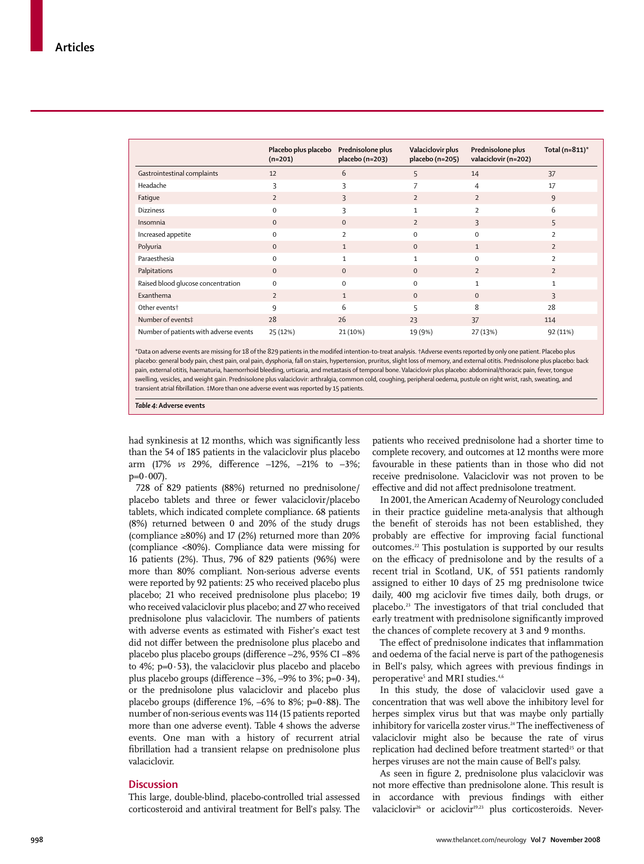|                                        | Placebo plus placebo<br>$(n=201)$ | Prednisolone plus<br>placebo (n=203) | Valaciclovir plus<br>placebo (n=205) | Prednisolone plus<br>valaciclovir (n=202) | Total ( $n=811$ )* |
|----------------------------------------|-----------------------------------|--------------------------------------|--------------------------------------|-------------------------------------------|--------------------|
| Gastrointestinal complaints            | 12                                | 6                                    | 5                                    | 14                                        | 37                 |
| Headache                               | 3                                 | 3                                    | 7                                    | 4                                         | 17                 |
| Fatigue                                | $\overline{2}$                    | 3                                    | $\overline{2}$                       | $\overline{2}$                            | 9                  |
| <b>Dizziness</b>                       | $\mathbf 0$                       | 3                                    | 1                                    | $\overline{2}$                            | 6                  |
| Insomnia                               | $\mathbf{O}$                      | $\mathbf{0}$                         | $\overline{2}$                       | 3                                         | 5                  |
| Increased appetite                     | $\mathbf 0$                       | $\overline{2}$                       | $\Omega$                             | $\mathbf 0$                               | $\overline{2}$     |
| Polyuria                               | $\mathbf{0}$                      | $\mathbf{1}$                         | $\mathbf{0}$                         | $\mathbf{1}$                              | $\overline{2}$     |
| Paraesthesia                           | $\mathbf 0$                       | $\mathbf{1}$                         | 1                                    | $\Omega$                                  | 2                  |
| Palpitations                           | $\mathbf 0$                       | $\mathbf{0}$                         | $\mathbf{0}$                         | $\overline{2}$                            | $\overline{2}$     |
| Raised blood glucose concentration     | $\mathbf 0$                       | $\Omega$                             | $\Omega$                             | $\mathbf{1}$                              | 1                  |
| Exanthema                              | $\overline{2}$                    | $\mathbf{1}$                         | $\mathbf{0}$                         | $\mathbf{0}$                              | 3                  |
| Other eventst                          | 9                                 | 6                                    | 5                                    | 8                                         | 28                 |
| Number of events‡                      | 28                                | 26                                   | 23                                   | 37                                        | 114                |
| Number of patients with adverse events | 25 (12%)                          | 21 (10%)                             | 19 (9%)                              | 27 (13%)                                  | 92 (11%)           |

\*Data on adverse events are missing for 18 of the 829 patients in the modifed intention-to-treat analysis. †Adverse events reported by only one patient. Placebo plus placebo: general body pain, chest pain, oral pain, dysphoria, fall on stairs, hypertension, pruritus, slight loss of memory, and external otitis. Prednisolone plus placebo: back pain, external otitis, haematuria, haemorrhoid bleeding, urticaria, and metastasis of temporal bone. Valaciclovir plus placebo: abdominal/thoracic pain, fever, tongue swelling, vesicles, and weight gain. Prednisolone plus valaciclovir: arthralgia, common cold, coughing, peripheral oedema, pustule on right wrist, rash, sweating, and transient atrial fibrillation. ‡More than one adverse event was reported by 15 patients.

*Table 4***: Adverse events**

had synkinesis at 12 months, which was significantly less than the 54 of 185 patients in the valaciclovir plus placebo arm (17% *vs* 29%, difference -12%, -21% to -3%;  $p=0.007$ ).

728 of 829 patients (88%) returned no prednisolone/ placebo tablets and three or fewer valaciclovir/placebo tablets, which indicated complete compliance. 68 patients (8%) returned between 0 and 20% of the study drugs (compliance ≥80%) and 17 (2%) returned more than 20% (compliance <80%). Compliance data were missing for 16 patients (2%). Thus, 796 of 829 patients (96%) were more than 80% compliant. Non-serious adverse events were reported by 92 patients: 25 who received placebo plus placebo; 21 who received prednisolone plus placebo; 19 who received valaciclovir plus placebo; and 27 who received prednisolone plus valaciclovir. The numbers of patients with adverse events as estimated with Fisher's exact test did not differ between the prednisolone plus placebo and placebo plus placebo groups (difference -2%, 95% CI -8% to  $4\frac{1}{2}$ ; p=0.53), the valaciclovir plus placebo and placebo plus placebo groups (difference  $-3\%$ ,  $-9\%$  to 3%; p=0 $\cdot$ 34), or the prednisolone plus valaciclovir and placebo plus placebo groups (difference  $1\%$ ,  $-6\%$  to  $8\%$ ;  $p=0.88$ ). The number of non-serious events was 114 (15 patients reported more than one adverse event). Table 4 shows the adverse events. One man with a history of recurrent atrial fibrillation had a transient relapse on prednisolone plus valaciclovir.

# **Discussion**

This large, double-blind, placebo-controlled trial assessed corticosteroid and antiviral treatment for Bell's palsy. The patients who received prednisolone had a shorter time to complete recovery, and outcomes at 12 months were more favourable in these patients than in those who did not receive prednisolone. Valaciclovir was not proven to be effective and did not affect prednisolone treatment.

In 2001, the American Academy of Neurology concluded in their practice guideline meta-analysis that although the benefit of steroids has not been established, they probably are effective for improving facial functional outcomes.22 This postulation is supported by our results on the efficacy of prednisolone and by the results of a recent trial in Scotland, UK, of 551 patients randomly assigned to either 10 days of 25 mg prednisolone twice daily, 400 mg aciclovir five times daily, both drugs, or placebo.<sup>23</sup> The investigators of that trial concluded that early treatment with prednisolone significantly improved the chances of complete recovery at 3 and 9 months.

The effect of prednisolone indicates that inflammation and oedema of the facial nerve is part of the pathogenesis in Bell's palsy, which agrees with previous findings in peroperative<sup>5</sup> and MRI studies.<sup>4,6</sup>

In this study, the dose of valaciclovir used gave a concentration that was well above the inhibitory level for herpes simplex virus but that was maybe only partially inhibitory for varicella zoster virus.<sup>24</sup> The ineffectiveness of valaciclovir might also be because the rate of virus replication had declined before treatment started<sup>25</sup> or that herpes viruses are not the main cause of Bell's palsy.

As seen in figure 2, prednisolone plus valaciclovir was not more effective than prednisolone alone. This result is in accordance with previous findings with either valaciclovir<sup>26</sup> or aciclovir<sup>19,23</sup> plus corticosteroids. Never-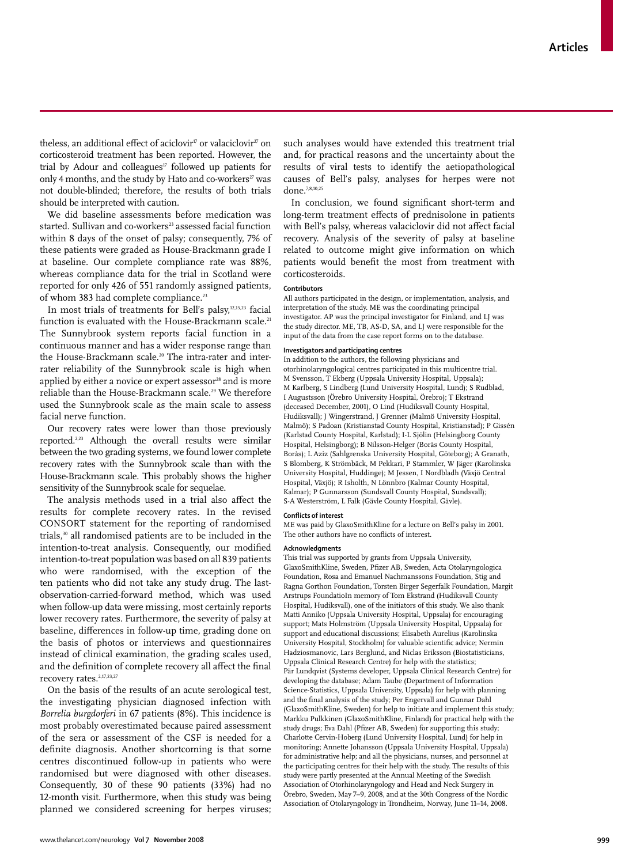theless, an additional effect of aciclovir<sup>17</sup> or valaciclovir<sup>27</sup> on corticosteroid treatment has been reported. However, the trial by Adour and colleagues $\mathbf{F}$  followed up patients for only 4 months, and the study by Hato and co-workers<sup> $27$ </sup> was not double-blinded; therefore, the results of both trials should be interpreted with caution.

We did baseline assessments before medication was started. Sullivan and co-workers<sup>23</sup> assessed facial function within 8 days of the onset of palsy; consequently, 7% of these patients were graded as House-Brackmann grade I at baseline. Our complete compliance rate was 88%, whereas compliance data for the trial in Scotland were reported for only 426 of 551 randomly assigned patients, of whom 383 had complete compliance.<sup>23</sup>

In most trials of treatments for Bell's palsy,<sup>12,15,23</sup> facial function is evaluated with the House-Brackmann scale.<sup>21</sup> The Sunnybrook system reports facial function in a continuous manner and has a wider response range than the House-Brackmann scale.<sup>20</sup> The intra-rater and interrater reliability of the Sunnybrook scale is high when applied by either a novice or expert assessor<sup>28</sup> and is more reliable than the House-Brackmann scale.<sup>29</sup> We therefore used the Sunnybrook scale as the main scale to assess facial nerve function.

Our recovery rates were lower than those previously reported.2,23 Although the overall results were similar between the two grading systems, we found lower complete recovery rates with the Sunnybrook scale than with the House-Brackmann scale. This probably shows the higher sensitivity of the Sunnybrook scale for sequelae.

The analysis methods used in a trial also affect the results for complete recovery rates. In the revised CONSORT statement for the reporting of randomised trials,<sup>30</sup> all randomised patients are to be included in the intention-to-treat analysis. Consequently, our modified intention-to-treat population was based on all 839 patients who were randomised, with the exception of the ten patients who did not take any study drug. The lastobservation-carried-forward method, which was used when follow-up data were missing, most certainly reports lower recovery rates. Furthermore, the severity of palsy at baseline, differences in follow-up time, grading done on the basis of photos or interviews and questionnaires instead of clinical examination, the grading scales used, and the definition of complete recovery all affect the final recovery rates.<sup>2,17,23,27</sup>

On the basis of the results of an acute serological test, the investigating physician diagnosed infection with *Borrelia burgdorferi* in 67 patients (8%). This incidence is most probably overestimated because paired assessment of the sera or assessment of the CSF is needed for a definite diagnosis. Another shortcoming is that some centres discontinued follow-up in patients who were randomised but were diagnosed with other diseases. Consequently, 30 of these 90 patients (33%) had no 12-month visit. Furthermore, when this study was being planned we considered screening for herpes viruses; such analyses would have extended this treatment trial and, for practical reasons and the uncertainty about the results of viral tests to identify the aetiopathological causes of Bell's palsy, analyses for herpes were not done.7,8,10,25

In conclusion, we found significant short-term and long-term treatment effects of prednisolone in patients with Bell's palsy, whereas valaciclovir did not affect facial recovery. Analysis of the severity of palsy at baseline related to outcome might give information on which patients would benefit the most from treatment with corticosteroids.

#### **Contributors**

All authors participated in the design, or implementation, analysis, and interpretation of the study. ME was the coordinating principal investigator. AP was the principal investigator for Finland, and LJ was the study director. ME, TB, AS-D, SA, and LJ were responsible for the input of the data from the case report forms on to the database.

# **Investigators and participating centres**

In addition to the authors, the following physicians and otorhinolaryngological centres participated in this multicentre trial. M Svensson, T Ekberg (Uppsala University Hospital, Uppsala); M Karlberg, S Lindberg (Lund University Hospital, Lund); S Rudblad, I Augustsson (Örebro University Hospital, Örebro); T Ekstrand (deceased December, 2001), O Lind (Hudiksvall County Hospital, Hudiksvall); J Wingerstrand, J Grenner (Malmö University Hospital, Malmö); S Padoan (Kristianstad County Hospital, Kristianstad); P Gissén (Karlstad County Hospital, Karlstad); I-L Sjölin (Helsingborg County Hospital, Helsingborg); B Nilsson-Helger (Borås County Hospital, Borås); L Aziz (Sahlgrenska University Hospital, Göteborg); A Granath, S Blomberg, K Strömbäck, M Pekkari, P Stammler, W Jäger (Karolinska University Hospital, Huddinge); M Jessen, I Nordbladh (Växjö Central Hospital, Växjö); R Isholth, N Lönnbro (Kalmar County Hospital, Kalmar); P Gunnarsson (Sundsvall County Hospital, Sundsvall); S-A Westerström, L Falk (Gävle County Hospital, Gävle).

#### **Conflicts of interest**

ME was paid by GlaxoSmithKline for a lecture on Bell's palsy in 2001. The other authors have no conflicts of interest.

#### **Acknowledgments**

This trial was supported by grants from Uppsala University, GlaxoSmithKline, Sweden, Pfizer AB, Sweden, Acta Otolaryngologica Foundation, Rosa and Emanuel Nachmanssons Foundation, Stig and Ragna Gorthon Foundation, Torsten Birger Segerfalk Foundation, Margit Arstrups FoundatioIn memory of Tom Ekstrand (Hudiksvall County Hospital, Hudiksvall), one of the initiators of this study. We also thank Matti Anniko (Uppsala University Hospital, Uppsala) for encouraging support; Mats Holmström (Uppsala University Hospital, Uppsala) for support and educational discussions; Elisabeth Aurelius (Karolinska University Hospital, Stockholm) for valuable scientific advice: Nermin Hadziosmanovic, Lars Berglund, and Niclas Eriksson (Biostatisticians, Uppsala Clinical Research Centre) for help with the statistics; Pär Lundqvist (Systems developer, Uppsala Clinical Research Centre) for developing the database; Adam Taube (Department of Information Science-Statistics, Uppsala University, Uppsala) for help with planning and the final analysis of the study; Per Engervall and Gunnar Dahl (GlaxoSmithKline, Sweden) for help to initiate and implement this study; Markku Pulkkinen (GlaxoSmithKline, Finland) for practical help with the study drugs; Eva Dahl (Pfizer AB, Sweden) for supporting this study; Charlotte Cervin-Hoberg (Lund University Hospital, Lund) for help in monitoring; Annette Johansson (Uppsala University Hospital, Uppsala) for administrative help; and all the physicians, nurses, and personnel at the participating centres for their help with the study. The results of this study were partly presented at the Annual Meeting of the Swedish Association of Otorhinolaryngology and Head and Neck Surgery in Örebro, Sweden, May 7–9, 2008, and at the 30th Congress of the Nordic Association of Otolaryngology in Trondheim, Norway, June 11–14, 2008.